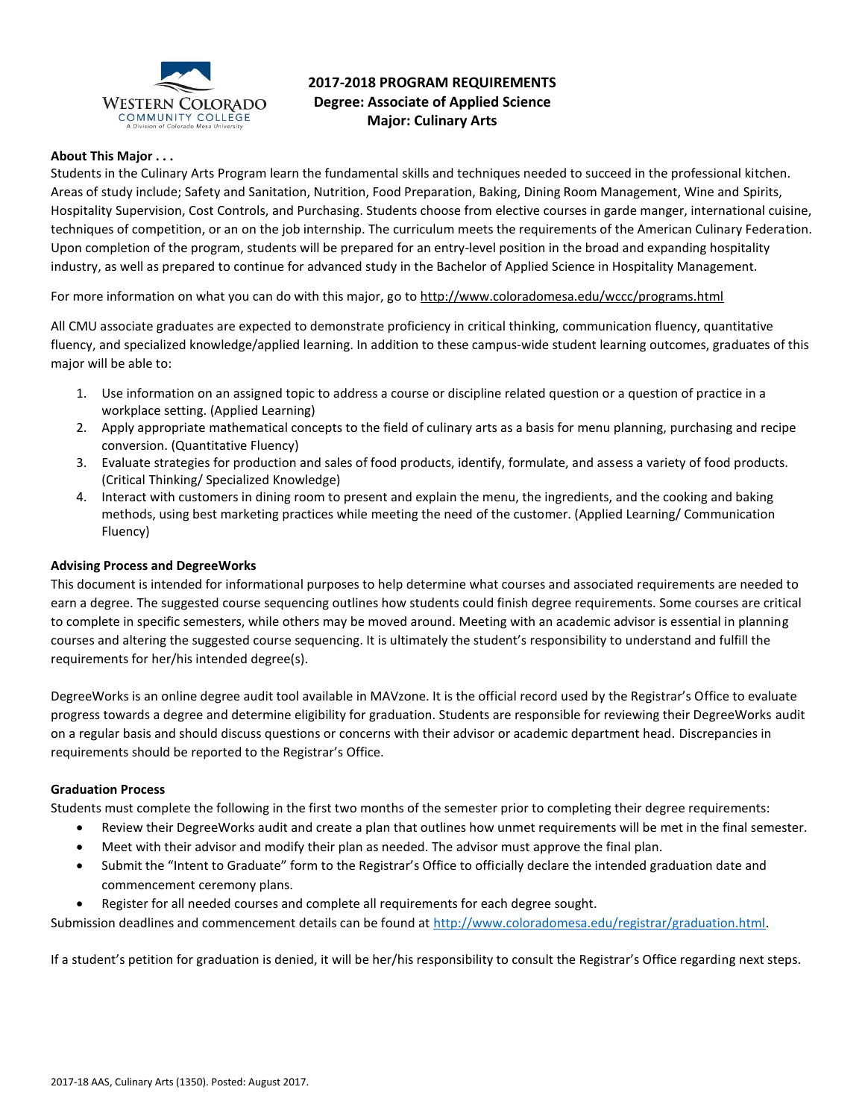

# **2017-2018 PROGRAM REQUIREMENTS Degree: Associate of Applied Science Major: Culinary Arts**

# **About This Major . . .**

Students in the Culinary Arts Program learn the fundamental skills and techniques needed to succeed in the professional kitchen. Areas of study include; Safety and Sanitation, Nutrition, Food Preparation, Baking, Dining Room Management, Wine and Spirits, Hospitality Supervision, Cost Controls, and Purchasing. Students choose from elective courses in garde manger, international cuisine, techniques of competition, or an on the job internship. The curriculum meets the requirements of the American Culinary Federation. Upon completion of the program, students will be prepared for an entry-level position in the broad and expanding hospitality industry, as well as prepared to continue for advanced study in the Bachelor of Applied Science in Hospitality Management.

For more information on what you can do with this major, go to http://www.coloradomesa.edu/wccc/programs.html

All CMU associate graduates are expected to demonstrate proficiency in critical thinking, communication fluency, quantitative fluency, and specialized knowledge/applied learning. In addition to these campus-wide student learning outcomes, graduates of this major will be able to:

- 1. Use information on an assigned topic to address a course or discipline related question or a question of practice in a workplace setting. (Applied Learning)
- 2. Apply appropriate mathematical concepts to the field of culinary arts as a basis for menu planning, purchasing and recipe conversion. (Quantitative Fluency)
- 3. Evaluate strategies for production and sales of food products, identify, formulate, and assess a variety of food products. (Critical Thinking/ Specialized Knowledge)
- 4. Interact with customers in dining room to present and explain the menu, the ingredients, and the cooking and baking methods, using best marketing practices while meeting the need of the customer. (Applied Learning/ Communication Fluency)

### **Advising Process and DegreeWorks**

This document is intended for informational purposes to help determine what courses and associated requirements are needed to earn a degree. The suggested course sequencing outlines how students could finish degree requirements. Some courses are critical to complete in specific semesters, while others may be moved around. Meeting with an academic advisor is essential in planning courses and altering the suggested course sequencing. It is ultimately the student's responsibility to understand and fulfill the requirements for her/his intended degree(s).

DegreeWorks is an online degree audit tool available in MAVzone. It is the official record used by the Registrar's Office to evaluate progress towards a degree and determine eligibility for graduation. Students are responsible for reviewing their DegreeWorks audit on a regular basis and should discuss questions or concerns with their advisor or academic department head. Discrepancies in requirements should be reported to the Registrar's Office.

#### **Graduation Process**

Students must complete the following in the first two months of the semester prior to completing their degree requirements:

- Review their DegreeWorks audit and create a plan that outlines how unmet requirements will be met in the final semester.
- Meet with their advisor and modify their plan as needed. The advisor must approve the final plan.
- Submit the "Intent to Graduate" form to the Registrar's Office to officially declare the intended graduation date and commencement ceremony plans.
- Register for all needed courses and complete all requirements for each degree sought.

Submission deadlines and commencement details can be found at [http://www.coloradomesa.edu/registrar/graduation.html.](http://www.coloradomesa.edu/registrar/graduation.html)

If a student's petition for graduation is denied, it will be her/his responsibility to consult the Registrar's Office regarding next steps.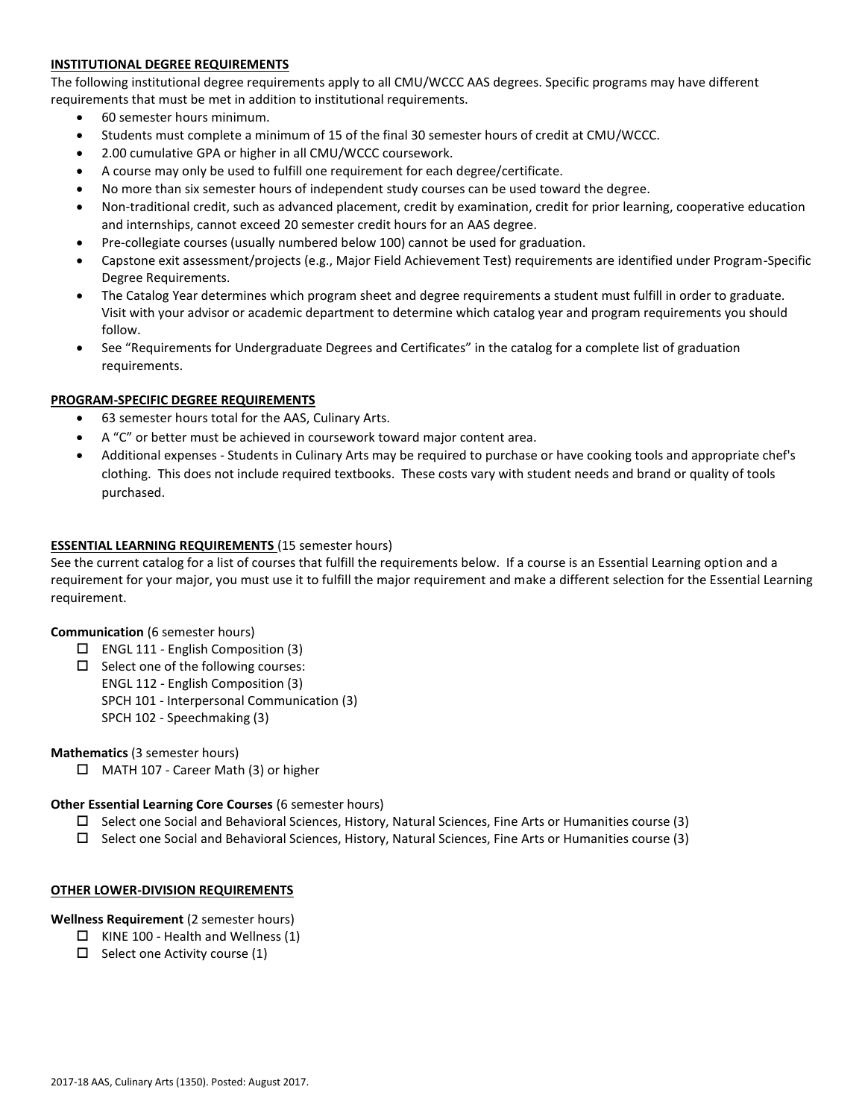# **INSTITUTIONAL DEGREE REQUIREMENTS**

The following institutional degree requirements apply to all CMU/WCCC AAS degrees. Specific programs may have different requirements that must be met in addition to institutional requirements.

- 60 semester hours minimum.
- Students must complete a minimum of 15 of the final 30 semester hours of credit at CMU/WCCC.
- 2.00 cumulative GPA or higher in all CMU/WCCC coursework.
- A course may only be used to fulfill one requirement for each degree/certificate.
- No more than six semester hours of independent study courses can be used toward the degree.
- Non-traditional credit, such as advanced placement, credit by examination, credit for prior learning, cooperative education and internships, cannot exceed 20 semester credit hours for an AAS degree.
- Pre-collegiate courses (usually numbered below 100) cannot be used for graduation.
- Capstone exit assessment/projects (e.g., Major Field Achievement Test) requirements are identified under Program-Specific Degree Requirements.
- The Catalog Year determines which program sheet and degree requirements a student must fulfill in order to graduate. Visit with your advisor or academic department to determine which catalog year and program requirements you should follow.
- See "Requirements for Undergraduate Degrees and Certificates" in the catalog for a complete list of graduation requirements.

# **PROGRAM-SPECIFIC DEGREE REQUIREMENTS**

- 63 semester hours total for the AAS, Culinary Arts.
- A "C" or better must be achieved in coursework toward major content area.
- Additional expenses Students in Culinary Arts may be required to purchase or have cooking tools and appropriate chef's clothing. This does not include required textbooks. These costs vary with student needs and brand or quality of tools purchased.

### **ESSENTIAL LEARNING REQUIREMENTS** (15 semester hours)

See the current catalog for a list of courses that fulfill the requirements below. If a course is an Essential Learning option and a requirement for your major, you must use it to fulfill the major requirement and make a different selection for the Essential Learning requirement.

#### **Communication** (6 semester hours)

- $\Box$  ENGL 111 English Composition (3)
- $\Box$  Select one of the following courses:
	- ENGL 112 English Composition (3)
		- SPCH 101 Interpersonal Communication (3)
	- SPCH 102 Speechmaking (3)

**Mathematics** (3 semester hours)

□ MATH 107 - Career Math (3) or higher

#### **Other Essential Learning Core Courses** (6 semester hours)

- $\square$  Select one Social and Behavioral Sciences, History, Natural Sciences, Fine Arts or Humanities course (3)
- $\square$  Select one Social and Behavioral Sciences, History, Natural Sciences, Fine Arts or Humanities course (3)

#### **OTHER LOWER-DIVISION REQUIREMENTS**

**Wellness Requirement** (2 semester hours)

- $\Box$  KINE 100 Health and Wellness (1)
- $\Box$  Select one Activity course (1)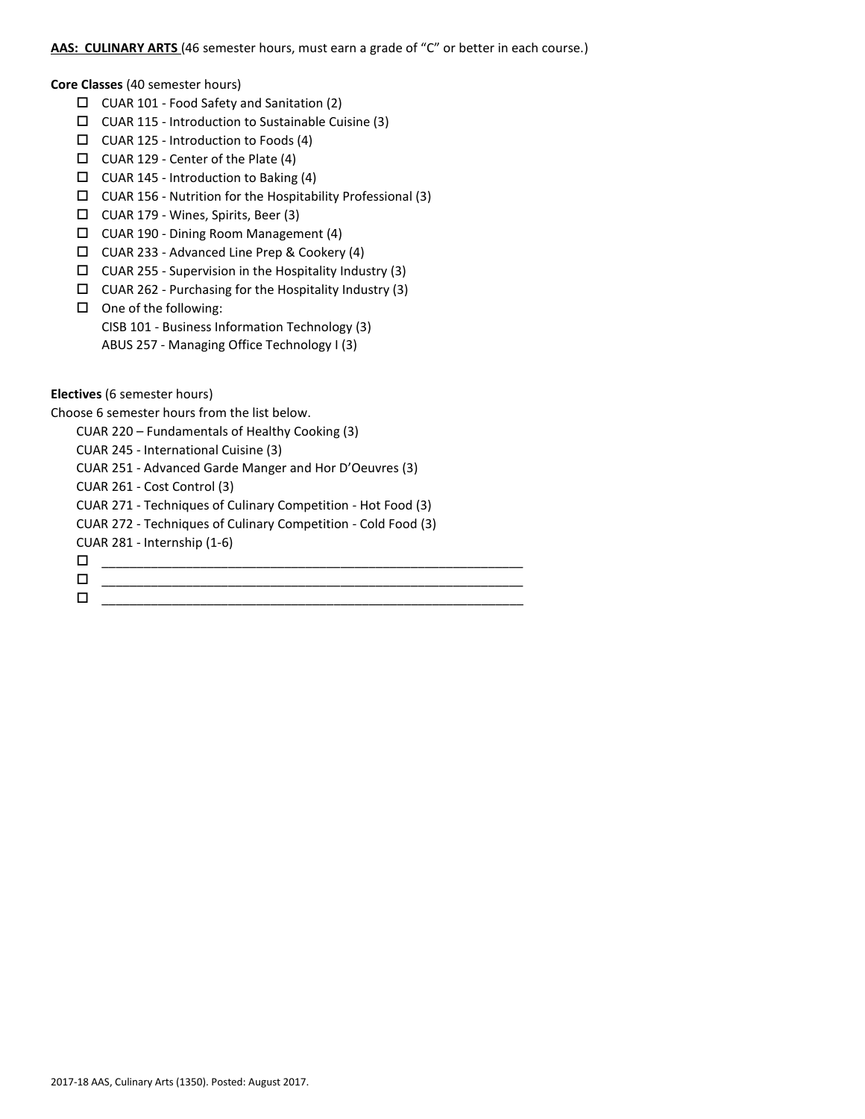# **AAS: CULINARY ARTS** (46 semester hours, must earn a grade of "C" or better in each course.)

**Core Classes** (40 semester hours)

- CUAR 101 Food Safety and Sanitation (2)
- $\Box$  CUAR 115 Introduction to Sustainable Cuisine (3)
- $\Box$  CUAR 125 Introduction to Foods (4)
- $\Box$  CUAR 129 Center of the Plate (4)
- CUAR 145 Introduction to Baking (4)
- $\Box$  CUAR 156 Nutrition for the Hospitability Professional (3)
- CUAR 179 Wines, Spirits, Beer (3)
- CUAR 190 Dining Room Management (4)
- CUAR 233 Advanced Line Prep & Cookery (4)
- $\Box$  CUAR 255 Supervision in the Hospitality Industry (3)
- $\Box$  CUAR 262 Purchasing for the Hospitality Industry (3)
- $\square$  One of the following:
	- CISB 101 Business Information Technology (3)
	- ABUS 257 Managing Office Technology I (3)

**Electives** (6 semester hours)

Choose 6 semester hours from the list below.

CUAR 220 – Fundamentals of Healthy Cooking (3)

CUAR 245 - International Cuisine (3)

CUAR 251 - Advanced Garde Manger and Hor D'Oeuvres (3)

CUAR 261 - Cost Control (3)

CUAR 271 - Techniques of Culinary Competition - Hot Food (3)

CUAR 272 - Techniques of Culinary Competition - Cold Food (3)

CUAR 281 - Internship (1-6)

\_\_\_\_\_\_\_\_\_\_\_\_\_\_\_\_\_\_\_\_\_\_\_\_\_\_\_\_\_\_\_\_\_\_\_\_\_\_\_\_\_\_\_\_\_\_\_\_\_\_\_\_\_\_\_\_\_\_\_\_

- 
- \_\_\_\_\_\_\_\_\_\_\_\_\_\_\_\_\_\_\_\_\_\_\_\_\_\_\_\_\_\_\_\_\_\_\_\_\_\_\_\_\_\_\_\_\_\_\_\_\_\_\_\_\_\_\_\_\_\_\_\_ \_\_\_\_\_\_\_\_\_\_\_\_\_\_\_\_\_\_\_\_\_\_\_\_\_\_\_\_\_\_\_\_\_\_\_\_\_\_\_\_\_\_\_\_\_\_\_\_\_\_\_\_\_\_\_\_\_\_\_\_